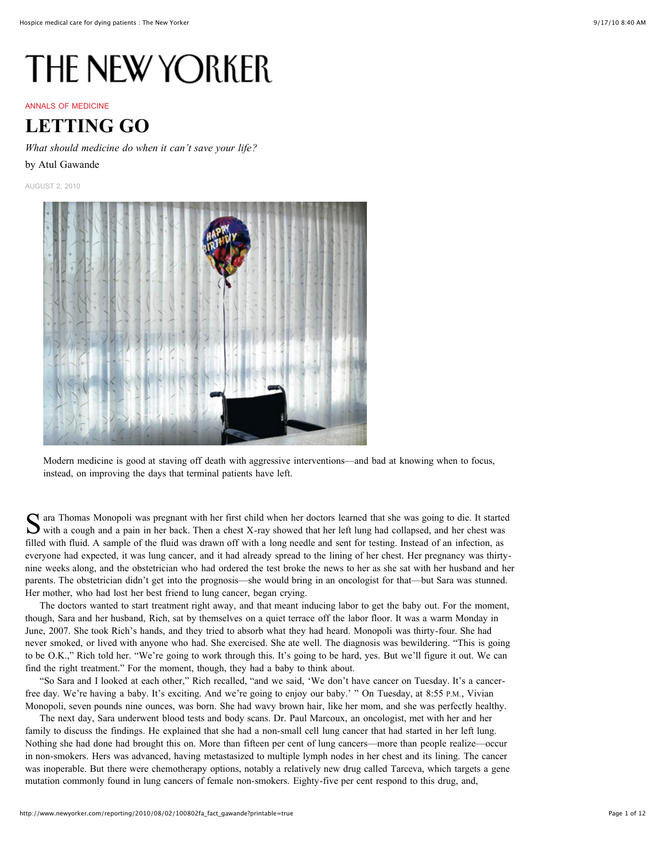## THE NEW YORKER

ANNALS OF MEDICINE

## **LETTING GO**

*What should medicine do when it can't save your life?*

## by [Atul Gawande](http://www.newyorker.com/magazine/bios/atul_gawande/search?contributorName=atul%20gawande)

AUGUST 2, 2010



Modern medicine is good at staving off death with aggressive interventions—and bad at knowing when to focus, instead, on improving the days that terminal patients have left.

S ara Thomas Monopoli was pregnant with her first child when her doctors learned that she was going to die. It started with a cough and a pain in her back. Then a chest X-ray showed that her left lung had collapsed, and he with a cough and a pain in her back. Then a chest X-ray showed that her left lung had collapsed, and her chest was filled with fluid. A sample of the fluid was drawn off with a long needle and sent for testing. Instead of an infection, as everyone had expected, it was lung cancer, and it had already spread to the lining of her chest. Her pregnancy was thirtynine weeks along, and the obstetrician who had ordered the test broke the news to her as she sat with her husband and her parents. The obstetrician didn't get into the prognosis—she would bring in an oncologist for that—but Sara was stunned. Her mother, who had lost her best friend to lung cancer, began crying.

The doctors wanted to start treatment right away, and that meant inducing labor to get the baby out. For the moment, though, Sara and her husband, Rich, sat by themselves on a quiet terrace off the labor floor. It was a warm Monday in June, 2007. She took Rich's hands, and they tried to absorb what they had heard. Monopoli was thirty-four. She had never smoked, or lived with anyone who had. She exercised. She ate well. The diagnosis was bewildering. "This is going to be O.K.," Rich told her. "We're going to work through this. It's going to be hard, yes. But we'll figure it out. We can find the right treatment." For the moment, though, they had a baby to think about.

"So Sara and I looked at each other," Rich recalled, "and we said, 'We don't have cancer on Tuesday. It's a cancerfree day. We're having a baby. It's exciting. And we're going to enjoy our baby.' " On Tuesday, at 8:55 P.M., Vivian Monopoli, seven pounds nine ounces, was born. She had wavy brown hair, like her mom, and she was perfectly healthy.

The next day, Sara underwent blood tests and body scans. Dr. Paul Marcoux, an oncologist, met with her and her family to discuss the findings. He explained that she had a non-small cell lung cancer that had started in her left lung. Nothing she had done had brought this on. More than fifteen per cent of lung cancers—more than people realize—occur in non-smokers. Hers was advanced, having metastasized to multiple lymph nodes in her chest and its lining. The cancer was inoperable. But there were chemotherapy options, notably a relatively new drug called Tarceva, which targets a gene mutation commonly found in lung cancers of female non-smokers. Eighty-five per cent respond to this drug, and,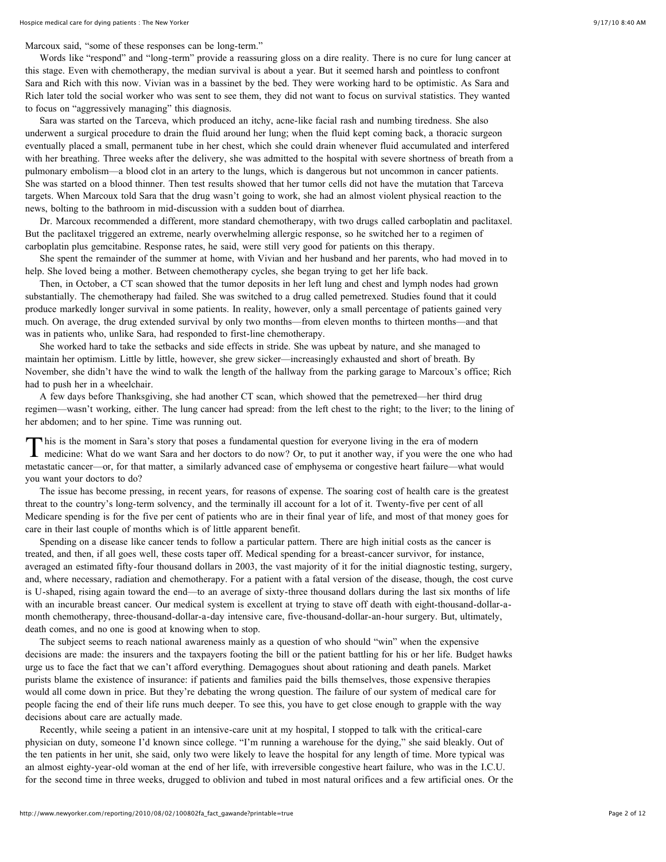Marcoux said, "some of these responses can be long-term."

Words like "respond" and "long-term" provide a reassuring gloss on a dire reality. There is no cure for lung cancer at this stage. Even with chemotherapy, the median survival is about a year. But it seemed harsh and pointless to confront Sara and Rich with this now. Vivian was in a bassinet by the bed. They were working hard to be optimistic. As Sara and Rich later told the social worker who was sent to see them, they did not want to focus on survival statistics. They wanted to focus on "aggressively managing" this diagnosis.

Sara was started on the Tarceva, which produced an itchy, acne-like facial rash and numbing tiredness. She also underwent a surgical procedure to drain the fluid around her lung; when the fluid kept coming back, a thoracic surgeon eventually placed a small, permanent tube in her chest, which she could drain whenever fluid accumulated and interfered with her breathing. Three weeks after the delivery, she was admitted to the hospital with severe shortness of breath from a pulmonary embolism—a blood clot in an artery to the lungs, which is dangerous but not uncommon in cancer patients. She was started on a blood thinner. Then test results showed that her tumor cells did not have the mutation that Tarceva targets. When Marcoux told Sara that the drug wasn't going to work, she had an almost violent physical reaction to the news, bolting to the bathroom in mid-discussion with a sudden bout of diarrhea.

Dr. Marcoux recommended a different, more standard chemotherapy, with two drugs called carboplatin and paclitaxel. But the paclitaxel triggered an extreme, nearly overwhelming allergic response, so he switched her to a regimen of carboplatin plus gemcitabine. Response rates, he said, were still very good for patients on this therapy.

She spent the remainder of the summer at home, with Vivian and her husband and her parents, who had moved in to help. She loved being a mother. Between chemotherapy cycles, she began trying to get her life back.

Then, in October, a CT scan showed that the tumor deposits in her left lung and chest and lymph nodes had grown substantially. The chemotherapy had failed. She was switched to a drug called pemetrexed. Studies found that it could produce markedly longer survival in some patients. In reality, however, only a small percentage of patients gained very much. On average, the drug extended survival by only two months—from eleven months to thirteen months—and that was in patients who, unlike Sara, had responded to first-line chemotherapy.

She worked hard to take the setbacks and side effects in stride. She was upbeat by nature, and she managed to maintain her optimism. Little by little, however, she grew sicker—increasingly exhausted and short of breath. By November, she didn't have the wind to walk the length of the hallway from the parking garage to Marcoux's office; Rich had to push her in a wheelchair.

A few days before Thanksgiving, she had another CT scan, which showed that the pemetrexed—her third drug regimen—wasn't working, either. The lung cancer had spread: from the left chest to the right; to the liver; to the lining of her abdomen; and to her spine. Time was running out.

This is the moment in Sara's story that poses a fundamental question for everyone living in the era of modern medicine: What do we want Sara and her doctors to do now? Or, to put it another way, if you were the one who had his is the moment in Sara's story that poses a fundamental question for everyone living in the era of modern metastatic cancer—or, for that matter, a similarly advanced case of emphysema or congestive heart failure—what would you want your doctors to do?

The issue has become pressing, in recent years, for reasons of expense. The soaring cost of health care is the greatest threat to the country's long-term solvency, and the terminally ill account for a lot of it. Twenty-five per cent of all Medicare spending is for the five per cent of patients who are in their final year of life, and most of that money goes for care in their last couple of months which is of little apparent benefit.

Spending on a disease like cancer tends to follow a particular pattern. There are high initial costs as the cancer is treated, and then, if all goes well, these costs taper off. Medical spending for a breast-cancer survivor, for instance, averaged an estimated fifty-four thousand dollars in 2003, the vast majority of it for the initial diagnostic testing, surgery, and, where necessary, radiation and chemotherapy. For a patient with a fatal version of the disease, though, the cost curve is U-shaped, rising again toward the end—to an average of sixty-three thousand dollars during the last six months of life with an incurable breast cancer. Our medical system is excellent at trying to stave off death with eight-thousand-dollar-amonth chemotherapy, three-thousand-dollar-a-day intensive care, five-thousand-dollar-an-hour surgery. But, ultimately, death comes, and no one is good at knowing when to stop.

The subject seems to reach national awareness mainly as a question of who should "win" when the expensive decisions are made: the insurers and the taxpayers footing the bill or the patient battling for his or her life. Budget hawks urge us to face the fact that we can't afford everything. Demagogues shout about rationing and death panels. Market purists blame the existence of insurance: if patients and families paid the bills themselves, those expensive therapies would all come down in price. But they're debating the wrong question. The failure of our system of medical care for people facing the end of their life runs much deeper. To see this, you have to get close enough to grapple with the way decisions about care are actually made.

Recently, while seeing a patient in an intensive-care unit at my hospital, I stopped to talk with the critical-care physician on duty, someone I'd known since college. "I'm running a warehouse for the dying," she said bleakly. Out of the ten patients in her unit, she said, only two were likely to leave the hospital for any length of time. More typical was an almost eighty-year-old woman at the end of her life, with irreversible congestive heart failure, who was in the I.C.U. for the second time in three weeks, drugged to oblivion and tubed in most natural orifices and a few artificial ones. Or the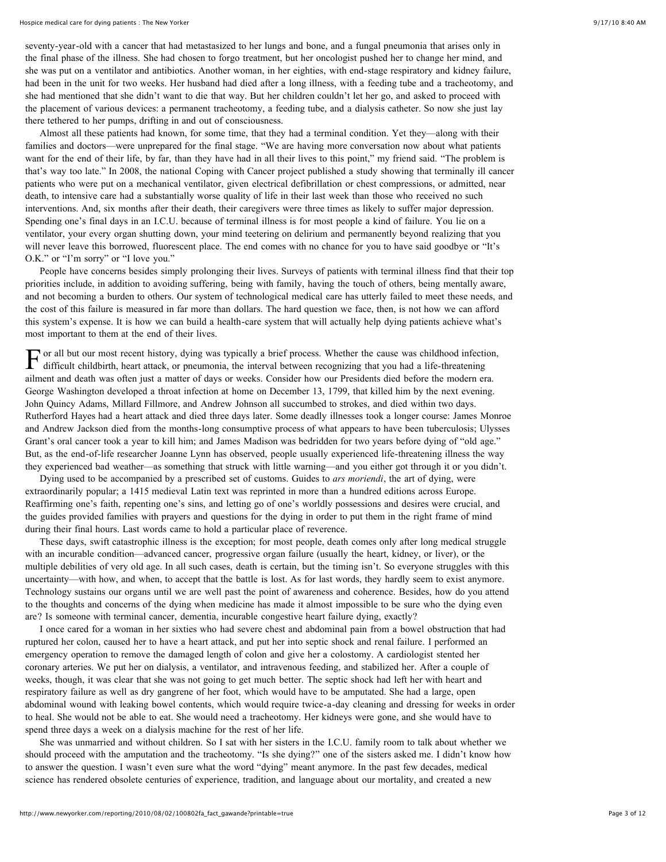seventy-year-old with a cancer that had metastasized to her lungs and bone, and a fungal pneumonia that arises only in the final phase of the illness. She had chosen to forgo treatment, but her oncologist pushed her to change her mind, and she was put on a ventilator and antibiotics. Another woman, in her eighties, with end-stage respiratory and kidney failure, had been in the unit for two weeks. Her husband had died after a long illness, with a feeding tube and a tracheotomy, and she had mentioned that she didn't want to die that way. But her children couldn't let her go, and asked to proceed with the placement of various devices: a permanent tracheotomy, a feeding tube, and a dialysis catheter. So now she just lay there tethered to her pumps, drifting in and out of consciousness.

Almost all these patients had known, for some time, that they had a terminal condition. Yet they—along with their families and doctors—were unprepared for the final stage. "We are having more conversation now about what patients want for the end of their life, by far, than they have had in all their lives to this point," my friend said. "The problem is that's way too late." In 2008, the national Coping with Cancer project published a study showing that terminally ill cancer patients who were put on a mechanical ventilator, given electrical defibrillation or chest compressions, or admitted, near death, to intensive care had a substantially worse quality of life in their last week than those who received no such interventions. And, six months after their death, their caregivers were three times as likely to suffer major depression. Spending one's final days in an I.C.U. because of terminal illness is for most people a kind of failure. You lie on a ventilator, your every organ shutting down, your mind teetering on delirium and permanently beyond realizing that you will never leave this borrowed, fluorescent place. The end comes with no chance for you to have said goodbye or "It's O.K." or "I'm sorry" or "I love you."

People have concerns besides simply prolonging their lives. Surveys of patients with terminal illness find that their top priorities include, in addition to avoiding suffering, being with family, having the touch of others, being mentally aware, and not becoming a burden to others. Our system of technological medical care has utterly failed to meet these needs, and the cost of this failure is measured in far more than dollars. The hard question we face, then, is not how we can afford this system's expense. It is how we can build a health-care system that will actually help dying patients achieve what's most important to them at the end of their lives.

F or all but our most recent history, dying was typically a brief process. Whether the cause was childhood infection, difficult childbirth, heart attack, or pneumonia, the interval between recognizing that you had a life-threatening ailment and death was often just a matter of days or weeks. Consider how our Presidents died before the modern era. George Washington developed a throat infection at home on December 13, 1799, that killed him by the next evening. John Quincy Adams, Millard Fillmore, and Andrew Johnson all succumbed to strokes, and died within two days. Rutherford Hayes had a heart attack and died three days later. Some deadly illnesses took a longer course: James Monroe and Andrew Jackson died from the months-long consumptive process of what appears to have been tuberculosis; Ulysses Grant's oral cancer took a year to kill him; and James Madison was bedridden for two years before dying of "old age." But, as the end-of-life researcher Joanne Lynn has observed, people usually experienced life-threatening illness the way they experienced bad weather—as something that struck with little warning—and you either got through it or you didn't.

Dying used to be accompanied by a prescribed set of customs. Guides to *ars moriendi*, the art of dying, were extraordinarily popular; a 1415 medieval Latin text was reprinted in more than a hundred editions across Europe. Reaffirming one's faith, repenting one's sins, and letting go of one's worldly possessions and desires were crucial, and the guides provided families with prayers and questions for the dying in order to put them in the right frame of mind during their final hours. Last words came to hold a particular place of reverence.

These days, swift catastrophic illness is the exception; for most people, death comes only after long medical struggle with an incurable condition—advanced cancer, progressive organ failure (usually the heart, kidney, or liver), or the multiple debilities of very old age. In all such cases, death is certain, but the timing isn't. So everyone struggles with this uncertainty—with how, and when, to accept that the battle is lost. As for last words, they hardly seem to exist anymore. Technology sustains our organs until we are well past the point of awareness and coherence. Besides, how do you attend to the thoughts and concerns of the dying when medicine has made it almost impossible to be sure who the dying even are? Is someone with terminal cancer, dementia, incurable congestive heart failure dying, exactly?

I once cared for a woman in her sixties who had severe chest and abdominal pain from a bowel obstruction that had ruptured her colon, caused her to have a heart attack, and put her into septic shock and renal failure. I performed an emergency operation to remove the damaged length of colon and give her a colostomy. A cardiologist stented her coronary arteries. We put her on dialysis, a ventilator, and intravenous feeding, and stabilized her. After a couple of weeks, though, it was clear that she was not going to get much better. The septic shock had left her with heart and respiratory failure as well as dry gangrene of her foot, which would have to be amputated. She had a large, open abdominal wound with leaking bowel contents, which would require twice-a-day cleaning and dressing for weeks in order to heal. She would not be able to eat. She would need a tracheotomy. Her kidneys were gone, and she would have to spend three days a week on a dialysis machine for the rest of her life.

She was unmarried and without children. So I sat with her sisters in the I.C.U. family room to talk about whether we should proceed with the amputation and the tracheotomy. "Is she dying?" one of the sisters asked me. I didn't know how to answer the question. I wasn't even sure what the word "dying" meant anymore. In the past few decades, medical science has rendered obsolete centuries of experience, tradition, and language about our mortality, and created a new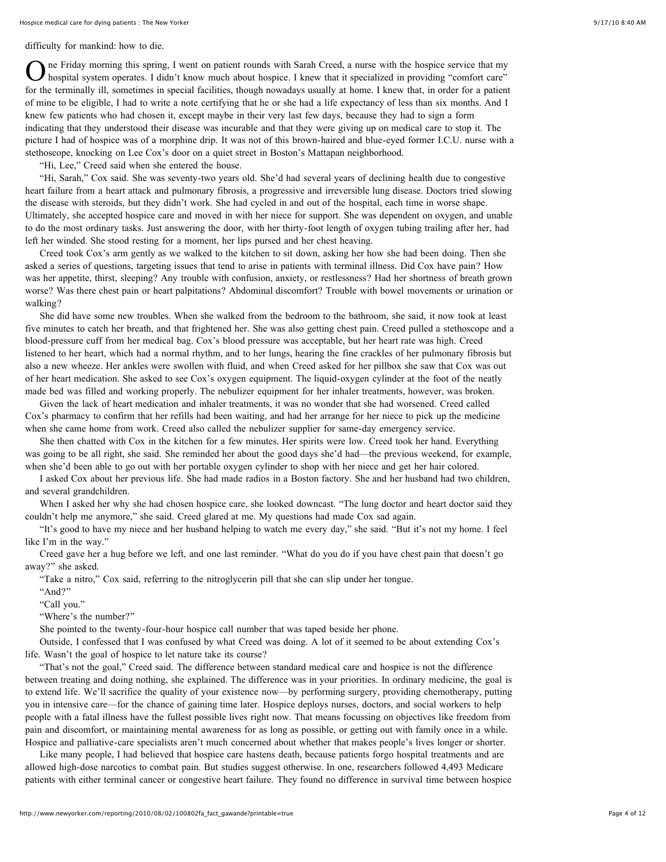difficulty for mankind: how to die.

O ne Friday morning this spring, I went on patient rounds with Sarah Creed, a nurse with the hospice service that my hospital system operates. I didn't know much about hospice. I knew that it specialized in providing "comfort care" for the terminally ill, sometimes in special facilities, though nowadays usually at home. I knew that, in order for a patient of mine to be eligible, I had to write a note certifying that he or she had a life expectancy of less than six months. And I knew few patients who had chosen it, except maybe in their very last few days, because they had to sign a form indicating that they understood their disease was incurable and that they were giving up on medical care to stop it. The picture I had of hospice was of a morphine drip. It was not of this brown-haired and blue-eyed former I.C.U. nurse with a stethoscope, knocking on Lee Cox's door on a quiet street in Boston's Mattapan neighborhood.

"Hi, Lee," Creed said when she entered the house.

"Hi, Sarah," Cox said. She was seventy-two years old. She'd had several years of declining health due to congestive heart failure from a heart attack and pulmonary fibrosis, a progressive and irreversible lung disease. Doctors tried slowing the disease with steroids, but they didn't work. She had cycled in and out of the hospital, each time in worse shape. Ultimately, she accepted hospice care and moved in with her niece for support. She was dependent on oxygen, and unable to do the most ordinary tasks. Just answering the door, with her thirty-foot length of oxygen tubing trailing after her, had left her winded. She stood resting for a moment, her lips pursed and her chest heaving.

Creed took Cox's arm gently as we walked to the kitchen to sit down, asking her how she had been doing. Then she asked a series of questions, targeting issues that tend to arise in patients with terminal illness. Did Cox have pain? How was her appetite, thirst, sleeping? Any trouble with confusion, anxiety, or restlessness? Had her shortness of breath grown worse? Was there chest pain or heart palpitations? Abdominal discomfort? Trouble with bowel movements or urination or walking?

She did have some new troubles. When she walked from the bedroom to the bathroom, she said, it now took at least five minutes to catch her breath, and that frightened her. She was also getting chest pain. Creed pulled a stethoscope and a blood-pressure cuff from her medical bag. Cox's blood pressure was acceptable, but her heart rate was high. Creed listened to her heart, which had a normal rhythm, and to her lungs, hearing the fine crackles of her pulmonary fibrosis but also a new wheeze. Her ankles were swollen with fluid, and when Creed asked for her pillbox she saw that Cox was out of her heart medication. She asked to see Cox's oxygen equipment. The liquid-oxygen cylinder at the foot of the neatly made bed was filled and working properly. The nebulizer equipment for her inhaler treatments, however, was broken.

Given the lack of heart medication and inhaler treatments, it was no wonder that she had worsened. Creed called Cox's pharmacy to confirm that her refills had been waiting, and had her arrange for her niece to pick up the medicine when she came home from work. Creed also called the nebulizer supplier for same-day emergency service.

She then chatted with Cox in the kitchen for a few minutes. Her spirits were low. Creed took her hand. Everything was going to be all right, she said. She reminded her about the good days she'd had—the previous weekend, for example, when she'd been able to go out with her portable oxygen cylinder to shop with her niece and get her hair colored.

I asked Cox about her previous life. She had made radios in a Boston factory. She and her husband had two children, and several grandchildren.

When I asked her why she had chosen hospice care, she looked downcast. "The lung doctor and heart doctor said they couldn't help me anymore," she said. Creed glared at me. My questions had made Cox sad again.

"It's good to have my niece and her husband helping to watch me every day," she said. "But it's not my home. I feel like I'm in the way."

Creed gave her a hug before we left, and one last reminder. "What do you do if you have chest pain that doesn't go away?" she asked.

"Take a nitro," Cox said, referring to the nitroglycerin pill that she can slip under her tongue.

"And?"

"Call you."

"Where's the number?"

She pointed to the twenty-four-hour hospice call number that was taped beside her phone.

Outside, I confessed that I was confused by what Creed was doing. A lot of it seemed to be about extending Cox's life. Wasn't the goal of hospice to let nature take its course?

"That's not the goal," Creed said. The difference between standard medical care and hospice is not the difference between treating and doing nothing, she explained. The difference was in your priorities. In ordinary medicine, the goal is to extend life. We'll sacrifice the quality of your existence now—by performing surgery, providing chemotherapy, putting you in intensive care—for the chance of gaining time later. Hospice deploys nurses, doctors, and social workers to help people with a fatal illness have the fullest possible lives right now. That means focussing on objectives like freedom from pain and discomfort, or maintaining mental awareness for as long as possible, or getting out with family once in a while. Hospice and palliative-care specialists aren't much concerned about whether that makes people's lives longer or shorter.

Like many people, I had believed that hospice care hastens death, because patients forgo hospital treatments and are allowed high-dose narcotics to combat pain. But studies suggest otherwise. In one, researchers followed 4,493 Medicare patients with either terminal cancer or congestive heart failure. They found no difference in survival time between hospice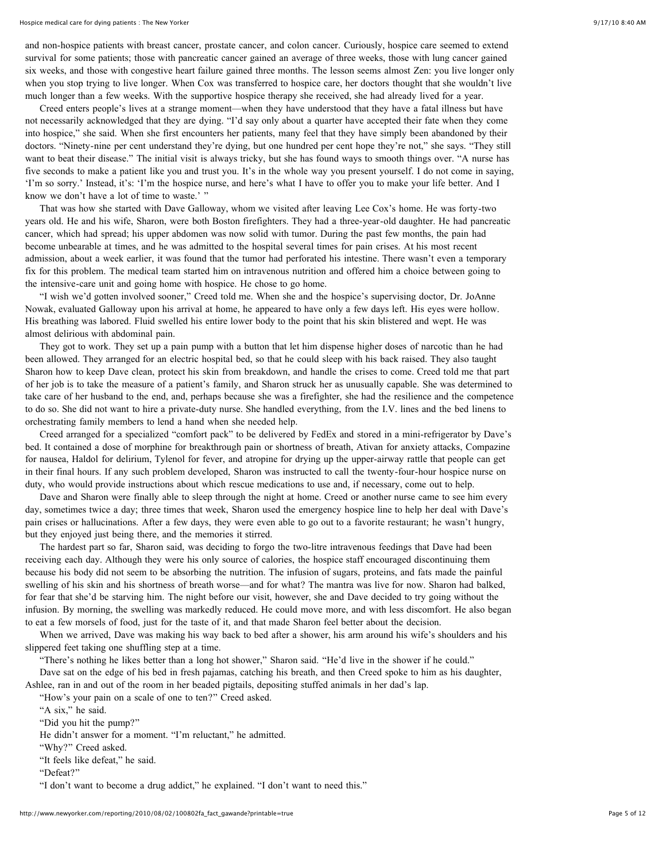and non-hospice patients with breast cancer, prostate cancer, and colon cancer. Curiously, hospice care seemed to extend survival for some patients; those with pancreatic cancer gained an average of three weeks, those with lung cancer gained six weeks, and those with congestive heart failure gained three months. The lesson seems almost Zen: you live longer only when you stop trying to live longer. When Cox was transferred to hospice care, her doctors thought that she wouldn't live much longer than a few weeks. With the supportive hospice therapy she received, she had already lived for a year.

Creed enters people's lives at a strange moment—when they have understood that they have a fatal illness but have not necessarily acknowledged that they are dying. "I'd say only about a quarter have accepted their fate when they come into hospice," she said. When she first encounters her patients, many feel that they have simply been abandoned by their doctors. "Ninety-nine per cent understand they're dying, but one hundred per cent hope they're not," she says. "They still want to beat their disease." The initial visit is always tricky, but she has found ways to smooth things over. "A nurse has five seconds to make a patient like you and trust you. It's in the whole way you present yourself. I do not come in saying, 'I'm so sorry.' Instead, it's: 'I'm the hospice nurse, and here's what I have to offer you to make your life better. And I know we don't have a lot of time to waste.' "

That was how she started with Dave Galloway, whom we visited after leaving Lee Cox's home. He was forty-two years old. He and his wife, Sharon, were both Boston firefighters. They had a three-year-old daughter. He had pancreatic cancer, which had spread; his upper abdomen was now solid with tumor. During the past few months, the pain had become unbearable at times, and he was admitted to the hospital several times for pain crises. At his most recent admission, about a week earlier, it was found that the tumor had perforated his intestine. There wasn't even a temporary fix for this problem. The medical team started him on intravenous nutrition and offered him a choice between going to the intensive-care unit and going home with hospice. He chose to go home.

"I wish we'd gotten involved sooner," Creed told me. When she and the hospice's supervising doctor, Dr. JoAnne Nowak, evaluated Galloway upon his arrival at home, he appeared to have only a few days left. His eyes were hollow. His breathing was labored. Fluid swelled his entire lower body to the point that his skin blistered and wept. He was almost delirious with abdominal pain.

They got to work. They set up a pain pump with a button that let him dispense higher doses of narcotic than he had been allowed. They arranged for an electric hospital bed, so that he could sleep with his back raised. They also taught Sharon how to keep Dave clean, protect his skin from breakdown, and handle the crises to come. Creed told me that part of her job is to take the measure of a patient's family, and Sharon struck her as unusually capable. She was determined to take care of her husband to the end, and, perhaps because she was a firefighter, she had the resilience and the competence to do so. She did not want to hire a private-duty nurse. She handled everything, from the I.V. lines and the bed linens to orchestrating family members to lend a hand when she needed help.

Creed arranged for a specialized "comfort pack" to be delivered by FedEx and stored in a mini-refrigerator by Dave's bed. It contained a dose of morphine for breakthrough pain or shortness of breath, Ativan for anxiety attacks, Compazine for nausea, Haldol for delirium, Tylenol for fever, and atropine for drying up the upper-airway rattle that people can get in their final hours. If any such problem developed, Sharon was instructed to call the twenty-four-hour hospice nurse on duty, who would provide instructions about which rescue medications to use and, if necessary, come out to help.

Dave and Sharon were finally able to sleep through the night at home. Creed or another nurse came to see him every day, sometimes twice a day; three times that week, Sharon used the emergency hospice line to help her deal with Dave's pain crises or hallucinations. After a few days, they were even able to go out to a favorite restaurant; he wasn't hungry, but they enjoyed just being there, and the memories it stirred.

The hardest part so far, Sharon said, was deciding to forgo the two-litre intravenous feedings that Dave had been receiving each day. Although they were his only source of calories, the hospice staff encouraged discontinuing them because his body did not seem to be absorbing the nutrition. The infusion of sugars, proteins, and fats made the painful swelling of his skin and his shortness of breath worse—and for what? The mantra was live for now. Sharon had balked, for fear that she'd be starving him. The night before our visit, however, she and Dave decided to try going without the infusion. By morning, the swelling was markedly reduced. He could move more, and with less discomfort. He also began to eat a few morsels of food, just for the taste of it, and that made Sharon feel better about the decision.

When we arrived, Dave was making his way back to bed after a shower, his arm around his wife's shoulders and his slippered feet taking one shuffling step at a time.

"There's nothing he likes better than a long hot shower," Sharon said. "He'd live in the shower if he could." Dave sat on the edge of his bed in fresh pajamas, catching his breath, and then Creed spoke to him as his daughter, Ashlee, ran in and out of the room in her beaded pigtails, depositing stuffed animals in her dad's lap.

"How's your pain on a scale of one to ten?" Creed asked.

"A six," he said. "Did you hit the pump?" He didn't answer for a moment. "I'm reluctant," he admitted. "Why?" Creed asked. "It feels like defeat," he said. "Defeat?" "I don't want to become a drug addict," he explained. "I don't want to need this."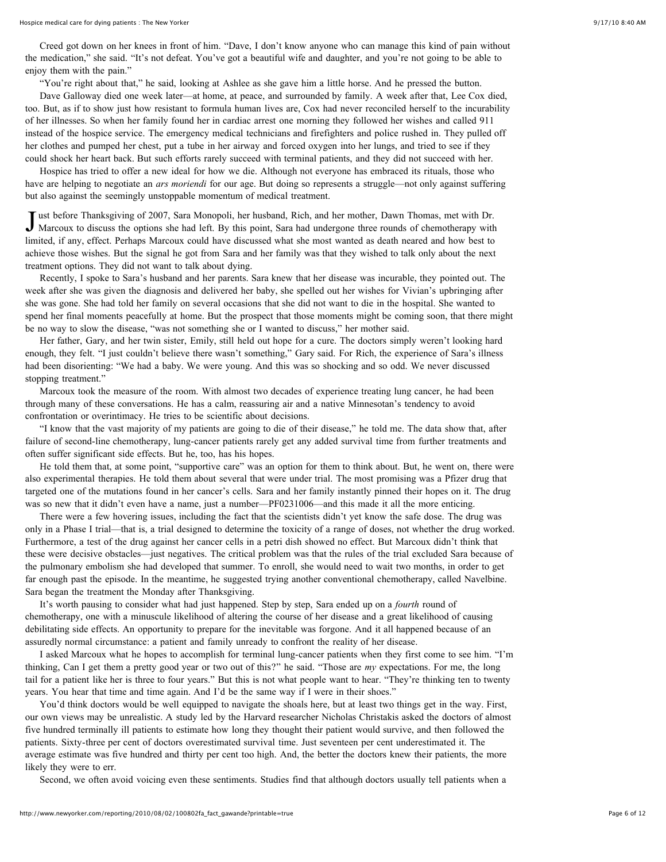Creed got down on her knees in front of him. "Dave, I don't know anyone who can manage this kind of pain without the medication," she said. "It's not defeat. You've got a beautiful wife and daughter, and you're not going to be able to enjoy them with the pain."

"You're right about that," he said, looking at Ashlee as she gave him a little horse. And he pressed the button.

Dave Galloway died one week later—at home, at peace, and surrounded by family. A week after that, Lee Cox died, too. But, as if to show just how resistant to formula human lives are, Cox had never reconciled herself to the incurability of her illnesses. So when her family found her in cardiac arrest one morning they followed her wishes and called 911 instead of the hospice service. The emergency medical technicians and firefighters and police rushed in. They pulled off her clothes and pumped her chest, put a tube in her airway and forced oxygen into her lungs, and tried to see if they could shock her heart back. But such efforts rarely succeed with terminal patients, and they did not succeed with her.

Hospice has tried to offer a new ideal for how we die. Although not everyone has embraced its rituals, those who have are helping to negotiate an *ars moriendi* for our age. But doing so represents a struggle—not only against suffering but also against the seemingly unstoppable momentum of medical treatment.

Just before Thanksgiving of 2007, Sara Monopoli, her husband, Rich, and her mother, Dawn Thomas, met with Dr.<br>Marcoux to discuss the options she had left. By this point, Sara had undergone three rounds of chemotherapy with ust before Thanksgiving of 2007, Sara Monopoli, her husband, Rich, and her mother, Dawn Thomas, met with Dr. limited, if any, effect. Perhaps Marcoux could have discussed what she most wanted as death neared and how best to achieve those wishes. But the signal he got from Sara and her family was that they wished to talk only about the next treatment options. They did not want to talk about dying.

Recently, I spoke to Sara's husband and her parents. Sara knew that her disease was incurable, they pointed out. The week after she was given the diagnosis and delivered her baby, she spelled out her wishes for Vivian's upbringing after she was gone. She had told her family on several occasions that she did not want to die in the hospital. She wanted to spend her final moments peacefully at home. But the prospect that those moments might be coming soon, that there might be no way to slow the disease, "was not something she or I wanted to discuss," her mother said.

Her father, Gary, and her twin sister, Emily, still held out hope for a cure. The doctors simply weren't looking hard enough, they felt. "I just couldn't believe there wasn't something," Gary said. For Rich, the experience of Sara's illness had been disorienting: "We had a baby. We were young. And this was so shocking and so odd. We never discussed stopping treatment."

Marcoux took the measure of the room. With almost two decades of experience treating lung cancer, he had been through many of these conversations. He has a calm, reassuring air and a native Minnesotan's tendency to avoid confrontation or overintimacy. He tries to be scientific about decisions.

"I know that the vast majority of my patients are going to die of their disease," he told me. The data show that, after failure of second-line chemotherapy, lung-cancer patients rarely get any added survival time from further treatments and often suffer significant side effects. But he, too, has his hopes.

He told them that, at some point, "supportive care" was an option for them to think about. But, he went on, there were also experimental therapies. He told them about several that were under trial. The most promising was a Pfizer drug that targeted one of the mutations found in her cancer's cells. Sara and her family instantly pinned their hopes on it. The drug was so new that it didn't even have a name, just a number—PF0231006—and this made it all the more enticing.

There were a few hovering issues, including the fact that the scientists didn't yet know the safe dose. The drug was only in a Phase I trial—that is, a trial designed to determine the toxicity of a range of doses, not whether the drug worked. Furthermore, a test of the drug against her cancer cells in a petri dish showed no effect. But Marcoux didn't think that these were decisive obstacles—just negatives. The critical problem was that the rules of the trial excluded Sara because of the pulmonary embolism she had developed that summer. To enroll, she would need to wait two months, in order to get far enough past the episode. In the meantime, he suggested trying another conventional chemotherapy, called Navelbine. Sara began the treatment the Monday after Thanksgiving.

It's worth pausing to consider what had just happened. Step by step, Sara ended up on a *fourth* round of chemotherapy, one with a minuscule likelihood of altering the course of her disease and a great likelihood of causing debilitating side effects. An opportunity to prepare for the inevitable was forgone. And it all happened because of an assuredly normal circumstance: a patient and family unready to confront the reality of her disease.

I asked Marcoux what he hopes to accomplish for terminal lung-cancer patients when they first come to see him. "I'm thinking, Can I get them a pretty good year or two out of this?" he said. "Those are *my* expectations. For me, the long tail for a patient like her is three to four years." But this is not what people want to hear. "They're thinking ten to twenty years. You hear that time and time again. And I'd be the same way if I were in their shoes."

You'd think doctors would be well equipped to navigate the shoals here, but at least two things get in the way. First, our own views may be unrealistic. A study led by the Harvard researcher Nicholas Christakis asked the doctors of almost five hundred terminally ill patients to estimate how long they thought their patient would survive, and then followed the patients. Sixty-three per cent of doctors overestimated survival time. Just seventeen per cent underestimated it. The average estimate was five hundred and thirty per cent too high. And, the better the doctors knew their patients, the more likely they were to err.

Second, we often avoid voicing even these sentiments. Studies find that although doctors usually tell patients when a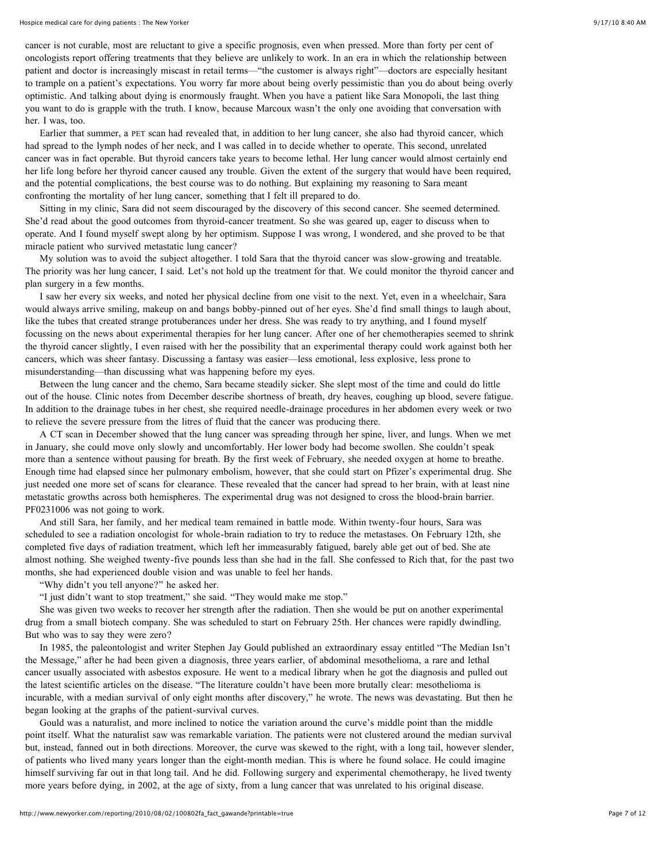cancer is not curable, most are reluctant to give a specific prognosis, even when pressed. More than forty per cent of oncologists report offering treatments that they believe are unlikely to work. In an era in which the relationship between patient and doctor is increasingly miscast in retail terms—"the customer is always right"—doctors are especially hesitant to trample on a patient's expectations. You worry far more about being overly pessimistic than you do about being overly optimistic. And talking about dying is enormously fraught. When you have a patient like Sara Monopoli, the last thing you want to do is grapple with the truth. I know, because Marcoux wasn't the only one avoiding that conversation with her. I was, too.

Earlier that summer, a PET scan had revealed that, in addition to her lung cancer, she also had thyroid cancer, which had spread to the lymph nodes of her neck, and I was called in to decide whether to operate. This second, unrelated cancer was in fact operable. But thyroid cancers take years to become lethal. Her lung cancer would almost certainly end her life long before her thyroid cancer caused any trouble. Given the extent of the surgery that would have been required, and the potential complications, the best course was to do nothing. But explaining my reasoning to Sara meant confronting the mortality of her lung cancer, something that I felt ill prepared to do.

Sitting in my clinic, Sara did not seem discouraged by the discovery of this second cancer. She seemed determined. She'd read about the good outcomes from thyroid-cancer treatment. So she was geared up, eager to discuss when to operate. And I found myself swept along by her optimism. Suppose I was wrong, I wondered, and she proved to be that miracle patient who survived metastatic lung cancer?

My solution was to avoid the subject altogether. I told Sara that the thyroid cancer was slow-growing and treatable. The priority was her lung cancer, I said. Let's not hold up the treatment for that. We could monitor the thyroid cancer and plan surgery in a few months.

I saw her every six weeks, and noted her physical decline from one visit to the next. Yet, even in a wheelchair, Sara would always arrive smiling, makeup on and bangs bobby-pinned out of her eyes. She'd find small things to laugh about, like the tubes that created strange protuberances under her dress. She was ready to try anything, and I found myself focussing on the news about experimental therapies for her lung cancer. After one of her chemotherapies seemed to shrink the thyroid cancer slightly, I even raised with her the possibility that an experimental therapy could work against both her cancers, which was sheer fantasy. Discussing a fantasy was easier—less emotional, less explosive, less prone to misunderstanding—than discussing what was happening before my eyes.

Between the lung cancer and the chemo, Sara became steadily sicker. She slept most of the time and could do little out of the house. Clinic notes from December describe shortness of breath, dry heaves, coughing up blood, severe fatigue. In addition to the drainage tubes in her chest, she required needle-drainage procedures in her abdomen every week or two to relieve the severe pressure from the litres of fluid that the cancer was producing there.

A CT scan in December showed that the lung cancer was spreading through her spine, liver, and lungs. When we met in January, she could move only slowly and uncomfortably. Her lower body had become swollen. She couldn't speak more than a sentence without pausing for breath. By the first week of February, she needed oxygen at home to breathe. Enough time had elapsed since her pulmonary embolism, however, that she could start on Pfizer's experimental drug. She just needed one more set of scans for clearance. These revealed that the cancer had spread to her brain, with at least nine metastatic growths across both hemispheres. The experimental drug was not designed to cross the blood-brain barrier. PF0231006 was not going to work.

And still Sara, her family, and her medical team remained in battle mode. Within twenty-four hours, Sara was scheduled to see a radiation oncologist for whole-brain radiation to try to reduce the metastases. On February 12th, she completed five days of radiation treatment, which left her immeasurably fatigued, barely able get out of bed. She ate almost nothing. She weighed twenty-five pounds less than she had in the fall. She confessed to Rich that, for the past two months, she had experienced double vision and was unable to feel her hands.

"Why didn't you tell anyone?" he asked her.

"I just didn't want to stop treatment," she said. "They would make me stop."

She was given two weeks to recover her strength after the radiation. Then she would be put on another experimental drug from a small biotech company. She was scheduled to start on February 25th. Her chances were rapidly dwindling. But who was to say they were zero?

In 1985, the paleontologist and writer Stephen Jay Gould published an extraordinary essay entitled "The Median Isn't the Message," after he had been given a diagnosis, three years earlier, of abdominal mesothelioma, a rare and lethal cancer usually associated with asbestos exposure. He went to a medical library when he got the diagnosis and pulled out the latest scientific articles on the disease. "The literature couldn't have been more brutally clear: mesothelioma is incurable, with a median survival of only eight months after discovery," he wrote. The news was devastating. But then he began looking at the graphs of the patient-survival curves.

Gould was a naturalist, and more inclined to notice the variation around the curve's middle point than the middle point itself. What the naturalist saw was remarkable variation. The patients were not clustered around the median survival but, instead, fanned out in both directions. Moreover, the curve was skewed to the right, with a long tail, however slender, of patients who lived many years longer than the eight-month median. This is where he found solace. He could imagine himself surviving far out in that long tail. And he did. Following surgery and experimental chemotherapy, he lived twenty more years before dying, in 2002, at the age of sixty, from a lung cancer that was unrelated to his original disease.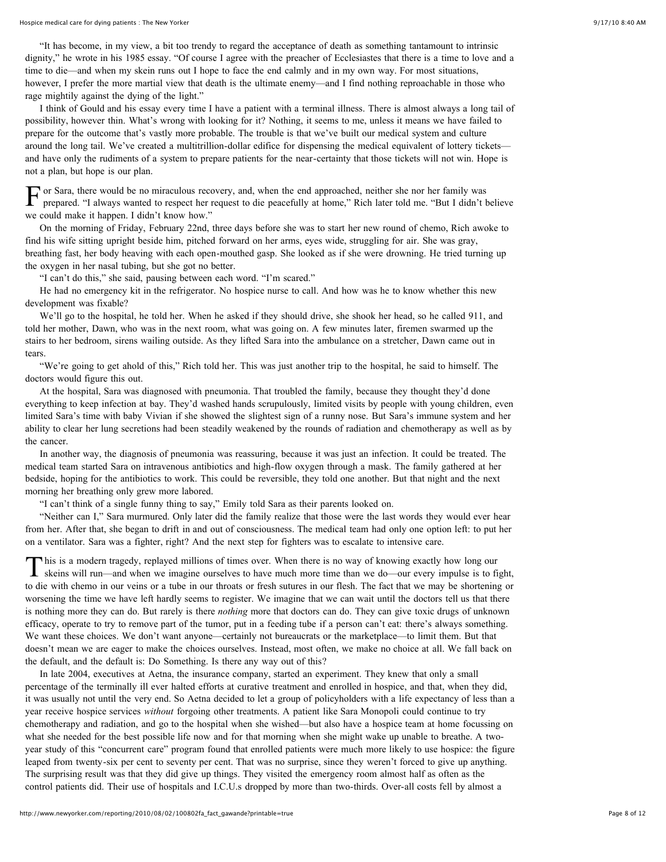"It has become, in my view, a bit too trendy to regard the acceptance of death as something tantamount to intrinsic dignity," he wrote in his 1985 essay. "Of course I agree with the preacher of Ecclesiastes that there is a time to love and a time to die—and when my skein runs out I hope to face the end calmly and in my own way. For most situations, however, I prefer the more martial view that death is the ultimate enemy—and I find nothing reproachable in those who rage mightily against the dying of the light."

I think of Gould and his essay every time I have a patient with a terminal illness. There is almost always a long tail of possibility, however thin. What's wrong with looking for it? Nothing, it seems to me, unless it means we have failed to prepare for the outcome that's vastly more probable. The trouble is that we've built our medical system and culture around the long tail. We've created a multitrillion-dollar edifice for dispensing the medical equivalent of lottery tickets and have only the rudiments of a system to prepare patients for the near-certainty that those tickets will not win. Hope is not a plan, but hope is our plan.

F or Sara, there would be no miraculous recovery, and, when the end approached, neither she nor her family was prepared. "I always wanted to respect her request to die peacefully at home," Rich later told me. "But I didn't believe we could make it happen. I didn't know how."

On the morning of Friday, February 22nd, three days before she was to start her new round of chemo, Rich awoke to find his wife sitting upright beside him, pitched forward on her arms, eyes wide, struggling for air. She was gray, breathing fast, her body heaving with each open-mouthed gasp. She looked as if she were drowning. He tried turning up the oxygen in her nasal tubing, but she got no better.

"I can't do this," she said, pausing between each word. "I'm scared."

He had no emergency kit in the refrigerator. No hospice nurse to call. And how was he to know whether this new development was fixable?

We'll go to the hospital, he told her. When he asked if they should drive, she shook her head, so he called 911, and told her mother, Dawn, who was in the next room, what was going on. A few minutes later, firemen swarmed up the stairs to her bedroom, sirens wailing outside. As they lifted Sara into the ambulance on a stretcher, Dawn came out in tears.

"We're going to get ahold of this," Rich told her. This was just another trip to the hospital, he said to himself. The doctors would figure this out.

At the hospital, Sara was diagnosed with pneumonia. That troubled the family, because they thought they'd done everything to keep infection at bay. They'd washed hands scrupulously, limited visits by people with young children, even limited Sara's time with baby Vivian if she showed the slightest sign of a runny nose. But Sara's immune system and her ability to clear her lung secretions had been steadily weakened by the rounds of radiation and chemotherapy as well as by the cancer.

In another way, the diagnosis of pneumonia was reassuring, because it was just an infection. It could be treated. The medical team started Sara on intravenous antibiotics and high-flow oxygen through a mask. The family gathered at her bedside, hoping for the antibiotics to work. This could be reversible, they told one another. But that night and the next morning her breathing only grew more labored.

"I can't think of a single funny thing to say," Emily told Sara as their parents looked on.

"Neither can I," Sara murmured. Only later did the family realize that those were the last words they would ever hear from her. After that, she began to drift in and out of consciousness. The medical team had only one option left: to put her on a ventilator. Sara was a fighter, right? And the next step for fighters was to escalate to intensive care.

This is a modern tragedy, replayed millions of times over. When there is no way of knowing exactly how long our skeins will run—and when we imagine ourselves to have much more time than we do—our every impulse is to fi skeins will run—and when we imagine ourselves to have much more time than we do—our every impulse is to fight, to die with chemo in our veins or a tube in our throats or fresh sutures in our flesh. The fact that we may be shortening or worsening the time we have left hardly seems to register. We imagine that we can wait until the doctors tell us that there is nothing more they can do. But rarely is there *nothing* more that doctors can do. They can give toxic drugs of unknown efficacy, operate to try to remove part of the tumor, put in a feeding tube if a person can't eat: there's always something. We want these choices. We don't want anyone—certainly not bureaucrats or the marketplace—to limit them. But that doesn't mean we are eager to make the choices ourselves. Instead, most often, we make no choice at all. We fall back on the default, and the default is: Do Something. Is there any way out of this?

In late 2004, executives at Aetna, the insurance company, started an experiment. They knew that only a small percentage of the terminally ill ever halted efforts at curative treatment and enrolled in hospice, and that, when they did, it was usually not until the very end. So Aetna decided to let a group of policyholders with a life expectancy of less than a year receive hospice services *without* forgoing other treatments. A patient like Sara Monopoli could continue to try chemotherapy and radiation, and go to the hospital when she wished—but also have a hospice team at home focussing on what she needed for the best possible life now and for that morning when she might wake up unable to breathe. A twoyear study of this "concurrent care" program found that enrolled patients were much more likely to use hospice: the figure leaped from twenty-six per cent to seventy per cent. That was no surprise, since they weren't forced to give up anything. The surprising result was that they did give up things. They visited the emergency room almost half as often as the control patients did. Their use of hospitals and I.C.U.s dropped by more than two-thirds. Over-all costs fell by almost a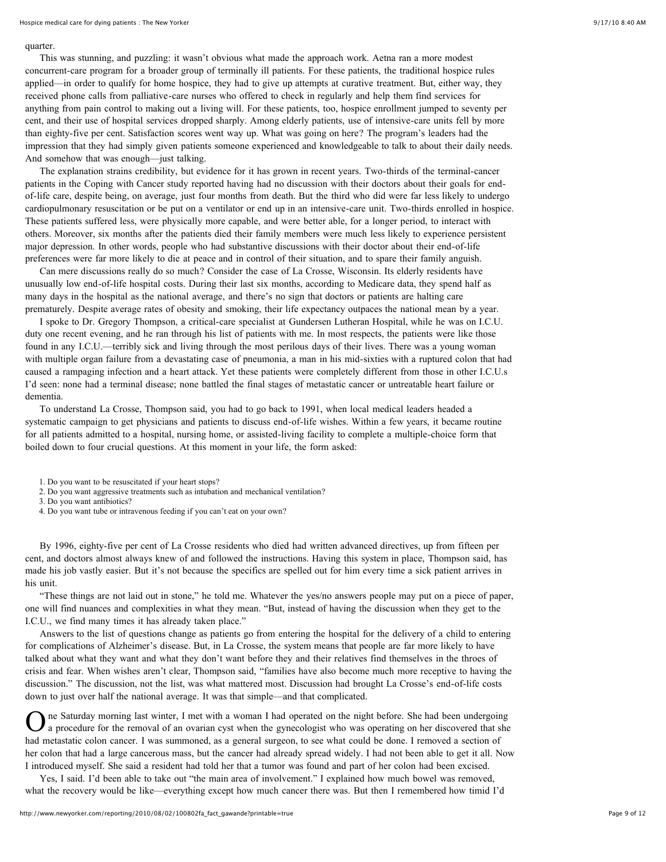## quarter.

This was stunning, and puzzling: it wasn't obvious what made the approach work. Aetna ran a more modest concurrent-care program for a broader group of terminally ill patients. For these patients, the traditional hospice rules applied—in order to qualify for home hospice, they had to give up attempts at curative treatment. But, either way, they received phone calls from palliative-care nurses who offered to check in regularly and help them find services for anything from pain control to making out a living will. For these patients, too, hospice enrollment jumped to seventy per cent, and their use of hospital services dropped sharply. Among elderly patients, use of intensive-care units fell by more than eighty-five per cent. Satisfaction scores went way up. What was going on here? The program's leaders had the impression that they had simply given patients someone experienced and knowledgeable to talk to about their daily needs. And somehow that was enough—just talking.

The explanation strains credibility, but evidence for it has grown in recent years. Two-thirds of the terminal-cancer patients in the Coping with Cancer study reported having had no discussion with their doctors about their goals for endof-life care, despite being, on average, just four months from death. But the third who did were far less likely to undergo cardiopulmonary resuscitation or be put on a ventilator or end up in an intensive-care unit. Two-thirds enrolled in hospice. These patients suffered less, were physically more capable, and were better able, for a longer period, to interact with others. Moreover, six months after the patients died their family members were much less likely to experience persistent major depression. In other words, people who had substantive discussions with their doctor about their end-of-life preferences were far more likely to die at peace and in control of their situation, and to spare their family anguish.

Can mere discussions really do so much? Consider the case of La Crosse, Wisconsin. Its elderly residents have unusually low end-of-life hospital costs. During their last six months, according to Medicare data, they spend half as many days in the hospital as the national average, and there's no sign that doctors or patients are halting care prematurely. Despite average rates of obesity and smoking, their life expectancy outpaces the national mean by a year.

I spoke to Dr. Gregory Thompson, a critical-care specialist at Gundersen Lutheran Hospital, while he was on I.C.U. duty one recent evening, and he ran through his list of patients with me. In most respects, the patients were like those found in any I.C.U.—terribly sick and living through the most perilous days of their lives. There was a young woman with multiple organ failure from a devastating case of pneumonia, a man in his mid-sixties with a ruptured colon that had caused a rampaging infection and a heart attack. Yet these patients were completely different from those in other I.C.U.s I'd seen: none had a terminal disease; none battled the final stages of metastatic cancer or untreatable heart failure or dementia.

To understand La Crosse, Thompson said, you had to go back to 1991, when local medical leaders headed a systematic campaign to get physicians and patients to discuss end-of-life wishes. Within a few years, it became routine for all patients admitted to a hospital, nursing home, or assisted-living facility to complete a multiple-choice form that boiled down to four crucial questions. At this moment in your life, the form asked:

2. Do you want aggressive treatments such as intubation and mechanical ventilation?

3. Do you want antibiotics?

4. Do you want tube or intravenous feeding if you can't eat on your own?

By 1996, eighty-five per cent of La Crosse residents who died had written advanced directives, up from fifteen per cent, and doctors almost always knew of and followed the instructions. Having this system in place, Thompson said, has made his job vastly easier. But it's not because the specifics are spelled out for him every time a sick patient arrives in his unit.

"These things are not laid out in stone," he told me. Whatever the yes/no answers people may put on a piece of paper, one will find nuances and complexities in what they mean. "But, instead of having the discussion when they get to the I.C.U., we find many times it has already taken place."

Answers to the list of questions change as patients go from entering the hospital for the delivery of a child to entering for complications of Alzheimer's disease. But, in La Crosse, the system means that people are far more likely to have talked about what they want and what they don't want before they and their relatives find themselves in the throes of crisis and fear. When wishes aren't clear, Thompson said, "families have also become much more receptive to having the discussion." The discussion, not the list, was what mattered most. Discussion had brought La Crosse's end-of-life costs down to just over half the national average. It was that simple—and that complicated.

O ne Saturday morning last winter, I met with a woman I had operated on the night before. She had been undergoing a procedure for the removal of an ovarian cyst when the gynecologist who was operating on her discovered that she had metastatic colon cancer. I was summoned, as a general surgeon, to see what could be done. I removed a section of her colon that had a large cancerous mass, but the cancer had already spread widely. I had not been able to get it all. Now I introduced myself. She said a resident had told her that a tumor was found and part of her colon had been excised.

Yes, I said. I'd been able to take out "the main area of involvement." I explained how much bowel was removed, what the recovery would be like—everything except how much cancer there was. But then I remembered how timid I'd

<sup>1.</sup> Do you want to be resuscitated if your heart stops?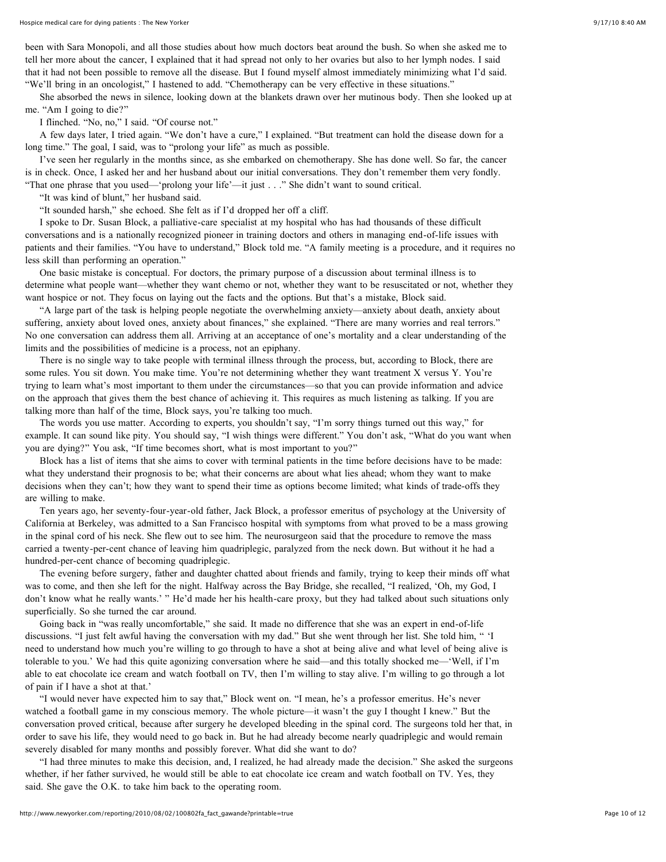been with Sara Monopoli, and all those studies about how much doctors beat around the bush. So when she asked me to tell her more about the cancer, I explained that it had spread not only to her ovaries but also to her lymph nodes. I said that it had not been possible to remove all the disease. But I found myself almost immediately minimizing what I'd said. "We'll bring in an oncologist," I hastened to add. "Chemotherapy can be very effective in these situations."

She absorbed the news in silence, looking down at the blankets drawn over her mutinous body. Then she looked up at me. "Am I going to die?"

I flinched. "No, no," I said. "Of course not."

A few days later, I tried again. "We don't have a cure," I explained. "But treatment can hold the disease down for a long time." The goal, I said, was to "prolong your life" as much as possible.

I've seen her regularly in the months since, as she embarked on chemotherapy. She has done well. So far, the cancer is in check. Once, I asked her and her husband about our initial conversations. They don't remember them very fondly. "That one phrase that you used—'prolong your life'—it just . . ." She didn't want to sound critical.

"It was kind of blunt," her husband said.

"It sounded harsh," she echoed. She felt as if I'd dropped her off a cliff.

I spoke to Dr. Susan Block, a palliative-care specialist at my hospital who has had thousands of these difficult conversations and is a nationally recognized pioneer in training doctors and others in managing end-of-life issues with patients and their families. "You have to understand," Block told me. "A family meeting is a procedure, and it requires no less skill than performing an operation."

One basic mistake is conceptual. For doctors, the primary purpose of a discussion about terminal illness is to determine what people want—whether they want chemo or not, whether they want to be resuscitated or not, whether they want hospice or not. They focus on laying out the facts and the options. But that's a mistake, Block said.

"A large part of the task is helping people negotiate the overwhelming anxiety—anxiety about death, anxiety about suffering, anxiety about loved ones, anxiety about finances," she explained. "There are many worries and real terrors." No one conversation can address them all. Arriving at an acceptance of one's mortality and a clear understanding of the limits and the possibilities of medicine is a process, not an epiphany.

There is no single way to take people with terminal illness through the process, but, according to Block, there are some rules. You sit down. You make time. You're not determining whether they want treatment X versus Y. You're trying to learn what's most important to them under the circumstances—so that you can provide information and advice on the approach that gives them the best chance of achieving it. This requires as much listening as talking. If you are talking more than half of the time, Block says, you're talking too much.

The words you use matter. According to experts, you shouldn't say, "I'm sorry things turned out this way," for example. It can sound like pity. You should say, "I wish things were different." You don't ask, "What do you want when you are dying?" You ask, "If time becomes short, what is most important to you?"

Block has a list of items that she aims to cover with terminal patients in the time before decisions have to be made: what they understand their prognosis to be; what their concerns are about what lies ahead; whom they want to make decisions when they can't; how they want to spend their time as options become limited; what kinds of trade-offs they are willing to make.

Ten years ago, her seventy-four-year-old father, Jack Block, a professor emeritus of psychology at the University of California at Berkeley, was admitted to a San Francisco hospital with symptoms from what proved to be a mass growing in the spinal cord of his neck. She flew out to see him. The neurosurgeon said that the procedure to remove the mass carried a twenty-per-cent chance of leaving him quadriplegic, paralyzed from the neck down. But without it he had a hundred-per-cent chance of becoming quadriplegic.

The evening before surgery, father and daughter chatted about friends and family, trying to keep their minds off what was to come, and then she left for the night. Halfway across the Bay Bridge, she recalled, "I realized, 'Oh, my God, I don't know what he really wants.' " He'd made her his health-care proxy, but they had talked about such situations only superficially. So she turned the car around.

Going back in "was really uncomfortable," she said. It made no difference that she was an expert in end-of-life discussions. "I just felt awful having the conversation with my dad." But she went through her list. She told him, " 'I need to understand how much you're willing to go through to have a shot at being alive and what level of being alive is tolerable to you.' We had this quite agonizing conversation where he said—and this totally shocked me—'Well, if I'm able to eat chocolate ice cream and watch football on TV, then I'm willing to stay alive. I'm willing to go through a lot of pain if I have a shot at that.'

"I would never have expected him to say that," Block went on. "I mean, he's a professor emeritus. He's never watched a football game in my conscious memory. The whole picture—it wasn't the guy I thought I knew." But the conversation proved critical, because after surgery he developed bleeding in the spinal cord. The surgeons told her that, in order to save his life, they would need to go back in. But he had already become nearly quadriplegic and would remain severely disabled for many months and possibly forever. What did she want to do?

"I had three minutes to make this decision, and, I realized, he had already made the decision." She asked the surgeons whether, if her father survived, he would still be able to eat chocolate ice cream and watch football on TV. Yes, they said. She gave the O.K. to take him back to the operating room.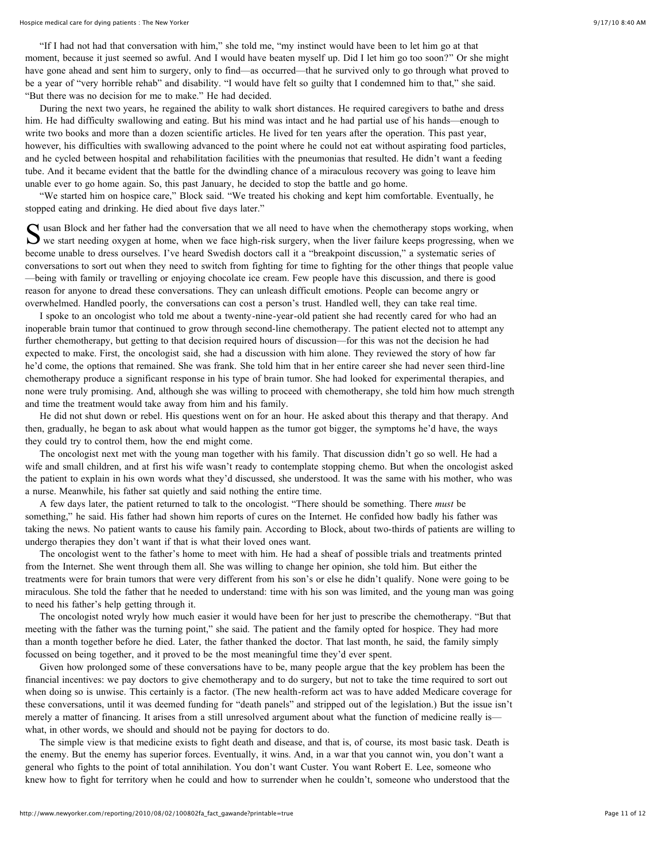"If I had not had that conversation with him," she told me, "my instinct would have been to let him go at that moment, because it just seemed so awful. And I would have beaten myself up. Did I let him go too soon?" Or she might have gone ahead and sent him to surgery, only to find—as occurred—that he survived only to go through what proved to be a year of "very horrible rehab" and disability. "I would have felt so guilty that I condemned him to that," she said. "But there was no decision for me to make." He had decided.

During the next two years, he regained the ability to walk short distances. He required caregivers to bathe and dress him. He had difficulty swallowing and eating. But his mind was intact and he had partial use of his hands—enough to write two books and more than a dozen scientific articles. He lived for ten years after the operation. This past year, however, his difficulties with swallowing advanced to the point where he could not eat without aspirating food particles, and he cycled between hospital and rehabilitation facilities with the pneumonias that resulted. He didn't want a feeding tube. And it became evident that the battle for the dwindling chance of a miraculous recovery was going to leave him unable ever to go home again. So, this past January, he decided to stop the battle and go home.

"We started him on hospice care," Block said. "We treated his choking and kept him comfortable. Eventually, he stopped eating and drinking. He died about five days later."

S usan Block and her father had the conversation that we all need to have when the chemotherapy stops working, when we we start needing oxygen at home, when we face high-risk surgery, when the liver failure keeps progressi  $\sum$  we start needing oxygen at home, when we face high-risk surgery, when the liver failure keeps progressing, when we become unable to dress ourselves. I've heard Swedish doctors call it a "breakpoint discussion," a systematic series of conversations to sort out when they need to switch from fighting for time to fighting for the other things that people value —being with family or travelling or enjoying chocolate ice cream. Few people have this discussion, and there is good reason for anyone to dread these conversations. They can unleash difficult emotions. People can become angry or overwhelmed. Handled poorly, the conversations can cost a person's trust. Handled well, they can take real time.

I spoke to an oncologist who told me about a twenty-nine-year-old patient she had recently cared for who had an inoperable brain tumor that continued to grow through second-line chemotherapy. The patient elected not to attempt any further chemotherapy, but getting to that decision required hours of discussion—for this was not the decision he had expected to make. First, the oncologist said, she had a discussion with him alone. They reviewed the story of how far he'd come, the options that remained. She was frank. She told him that in her entire career she had never seen third-line chemotherapy produce a significant response in his type of brain tumor. She had looked for experimental therapies, and none were truly promising. And, although she was willing to proceed with chemotherapy, she told him how much strength and time the treatment would take away from him and his family.

He did not shut down or rebel. His questions went on for an hour. He asked about this therapy and that therapy. And then, gradually, he began to ask about what would happen as the tumor got bigger, the symptoms he'd have, the ways they could try to control them, how the end might come.

The oncologist next met with the young man together with his family. That discussion didn't go so well. He had a wife and small children, and at first his wife wasn't ready to contemplate stopping chemo. But when the oncologist asked the patient to explain in his own words what they'd discussed, she understood. It was the same with his mother, who was a nurse. Meanwhile, his father sat quietly and said nothing the entire time.

A few days later, the patient returned to talk to the oncologist. "There should be something. There *must* be something," he said. His father had shown him reports of cures on the Internet. He confided how badly his father was taking the news. No patient wants to cause his family pain. According to Block, about two-thirds of patients are willing to undergo therapies they don't want if that is what their loved ones want.

The oncologist went to the father's home to meet with him. He had a sheaf of possible trials and treatments printed from the Internet. She went through them all. She was willing to change her opinion, she told him. But either the treatments were for brain tumors that were very different from his son's or else he didn't qualify. None were going to be miraculous. She told the father that he needed to understand: time with his son was limited, and the young man was going to need his father's help getting through it.

The oncologist noted wryly how much easier it would have been for her just to prescribe the chemotherapy. "But that meeting with the father was the turning point," she said. The patient and the family opted for hospice. They had more than a month together before he died. Later, the father thanked the doctor. That last month, he said, the family simply focussed on being together, and it proved to be the most meaningful time they'd ever spent.

Given how prolonged some of these conversations have to be, many people argue that the key problem has been the financial incentives: we pay doctors to give chemotherapy and to do surgery, but not to take the time required to sort out when doing so is unwise. This certainly is a factor. (The new health-reform act was to have added Medicare coverage for these conversations, until it was deemed funding for "death panels" and stripped out of the legislation.) But the issue isn't merely a matter of financing. It arises from a still unresolved argument about what the function of medicine really is what, in other words, we should and should not be paying for doctors to do.

The simple view is that medicine exists to fight death and disease, and that is, of course, its most basic task. Death is the enemy. But the enemy has superior forces. Eventually, it wins. And, in a war that you cannot win, you don't want a general who fights to the point of total annihilation. You don't want Custer. You want Robert E. Lee, someone who knew how to fight for territory when he could and how to surrender when he couldn't, someone who understood that the